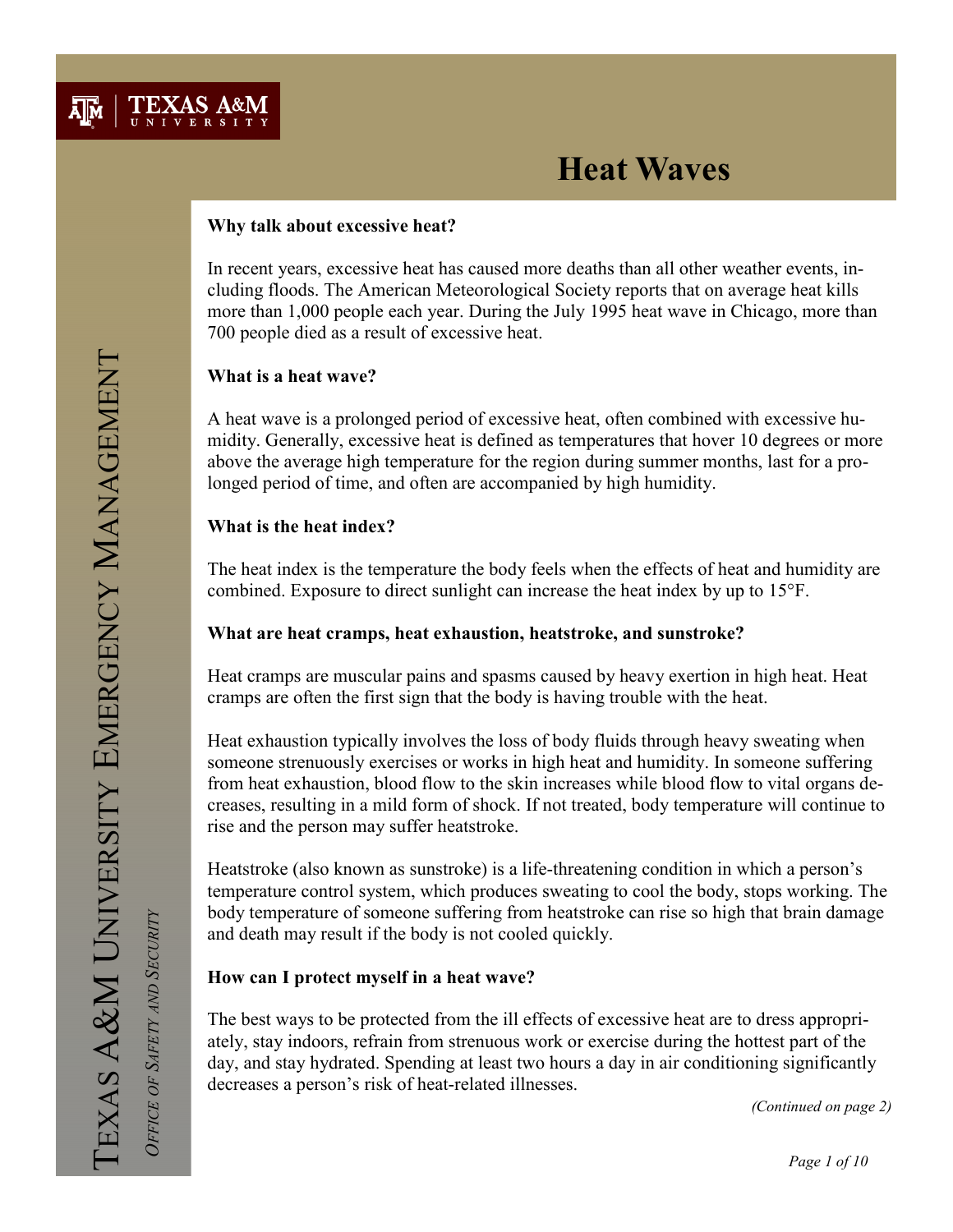

### Why talk about excessive heat?

In recent years, excessive heat has caused more deaths than all other weather events, including floods. The American Meteorological Society reports that on average heat kills more than 1,000 people each year. During the July 1995 heat wave in Chicago, more than 700 people died as a result of excessive heat.

### What is a heat wave?

A heat wave is a prolonged period of excessive heat, often combined with excessive humidity. Generally, excessive heat is defined as temperatures that hover 10 degrees or more above the average high temperature for the region during summer months, last for a prolonged period of time, and often are accompanied by high humidity.

### What is the heat index?

The heat index is the temperature the body feels when the effects of heat and humidity are combined. Exposure to direct sunlight can increase the heat index by up to 15°F.

### What are heat cramps, heat exhaustion, heatstroke, and sunstroke?

Heat cramps are muscular pains and spasms caused by heavy exertion in high heat. Heat cramps are often the first sign that the body is having trouble with the heat.

Heat exhaustion typically involves the loss of body fluids through heavy sweating when someone strenuously exercises or works in high heat and humidity. In someone suffering from heat exhaustion, blood flow to the skin increases while blood flow to vital organs decreases, resulting in a mild form of shock. If not treated, body temperature will continue to rise and the person may suffer heatstroke.

Heatstroke (also known as sunstroke) is a life-threatening condition in which a person's temperature control system, which produces sweating to cool the body, stops working. The body temperature of someone suffering from heatstroke can rise so high that brain damage and death may result if the body is not cooled quickly.

### How can I protect myself in a heat wave?

The best ways to be protected from the ill effects of excessive heat are to dress appropriately, stay indoors, refrain from strenuous work or exercise during the hottest part of the day, and stay hydrated. Spending at least two hours a day in air conditioning significantly decreases a person's risk of heat-related illnesses.

(Continued on page 2)

OFFICE OF SAFETY AND SECURITY

OFFICE OF SAFETY AND SECURITY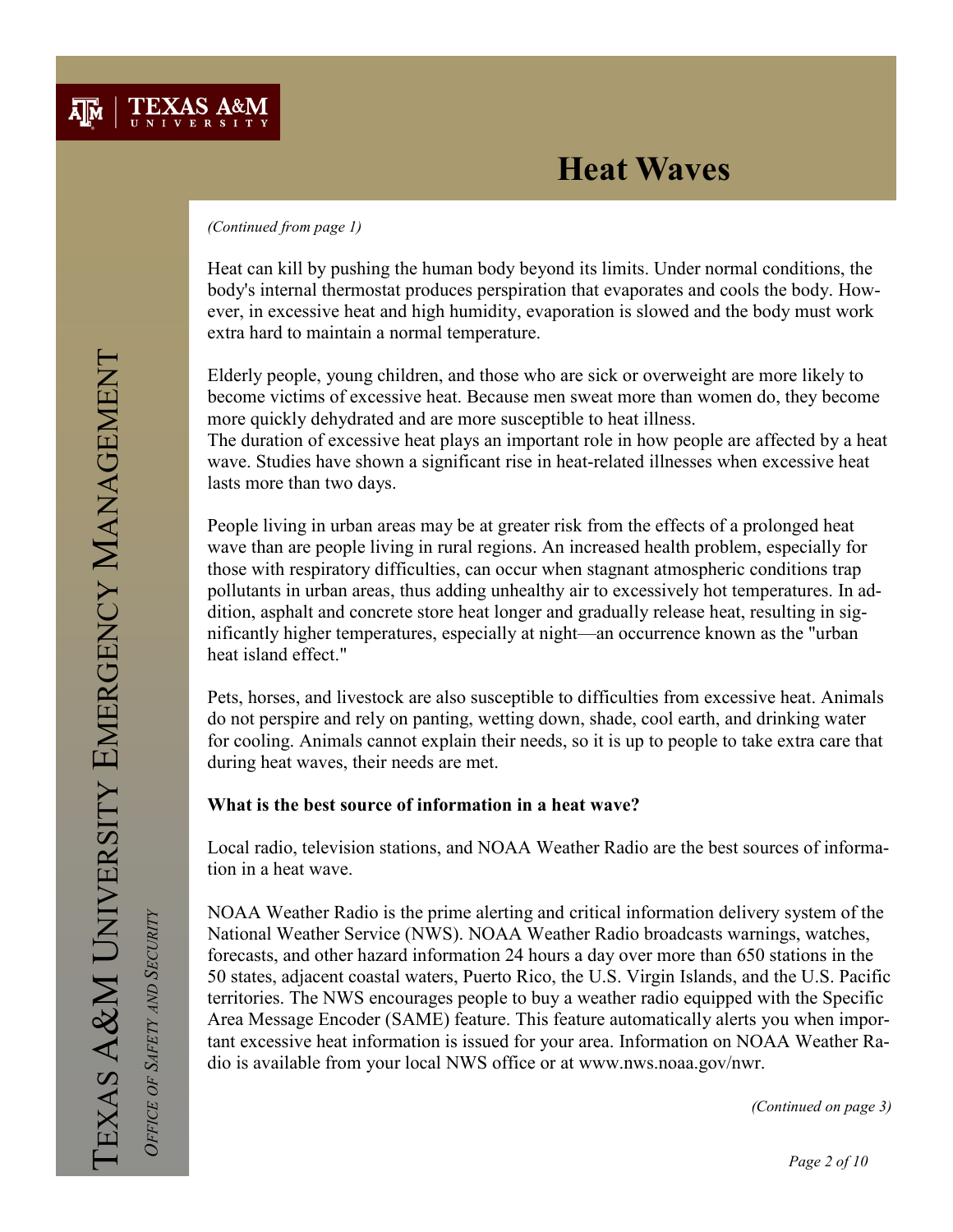#### (Continued from page 1)

Heat can kill by pushing the human body beyond its limits. Under normal conditions, the body's internal thermostat produces perspiration that evaporates and cools the body. However, in excessive heat and high humidity, evaporation is slowed and the body must work extra hard to maintain a normal temperature.

Elderly people, young children, and those who are sick or overweight are more likely to become victims of excessive heat. Because men sweat more than women do, they become more quickly dehydrated and are more susceptible to heat illness. The duration of excessive heat plays an important role in how people are affected by a heat

wave. Studies have shown a significant rise in heat-related illnesses when excessive heat lasts more than two days.

People living in urban areas may be at greater risk from the effects of a prolonged heat wave than are people living in rural regions. An increased health problem, especially for those with respiratory difficulties, can occur when stagnant atmospheric conditions trap pollutants in urban areas, thus adding unhealthy air to excessively hot temperatures. In addition, asphalt and concrete store heat longer and gradually release heat, resulting in significantly higher temperatures, especially at night—an occurrence known as the "urban heat island effect."

Pets, horses, and livestock are also susceptible to difficulties from excessive heat. Animals do not perspire and rely on panting, wetting down, shade, cool earth, and drinking water for cooling. Animals cannot explain their needs, so it is up to people to take extra care that during heat waves, their needs are met.

### What is the best source of information in a heat wave?

Local radio, television stations, and NOAA Weather Radio are the best sources of information in a heat wave.

NOAA Weather Radio is the prime alerting and critical information delivery system of the National Weather Service (NWS). NOAA Weather Radio broadcasts warnings, watches, forecasts, and other hazard information 24 hours a day over more than 650 stations in the 50 states, adjacent coastal waters, Puerto Rico, the U.S. Virgin Islands, and the U.S. Pacific territories. The NWS encourages people to buy a weather radio equipped with the Specific Area Message Encoder (SAME) feature. This feature automatically alerts you when important excessive heat information is issued for your area. Information on NOAA Weather Radio is available from your local NWS office or at www.nws.noaa.gov/nwr.

(Continued on page 3)

OFFICE OF SAFETY AND SECURITY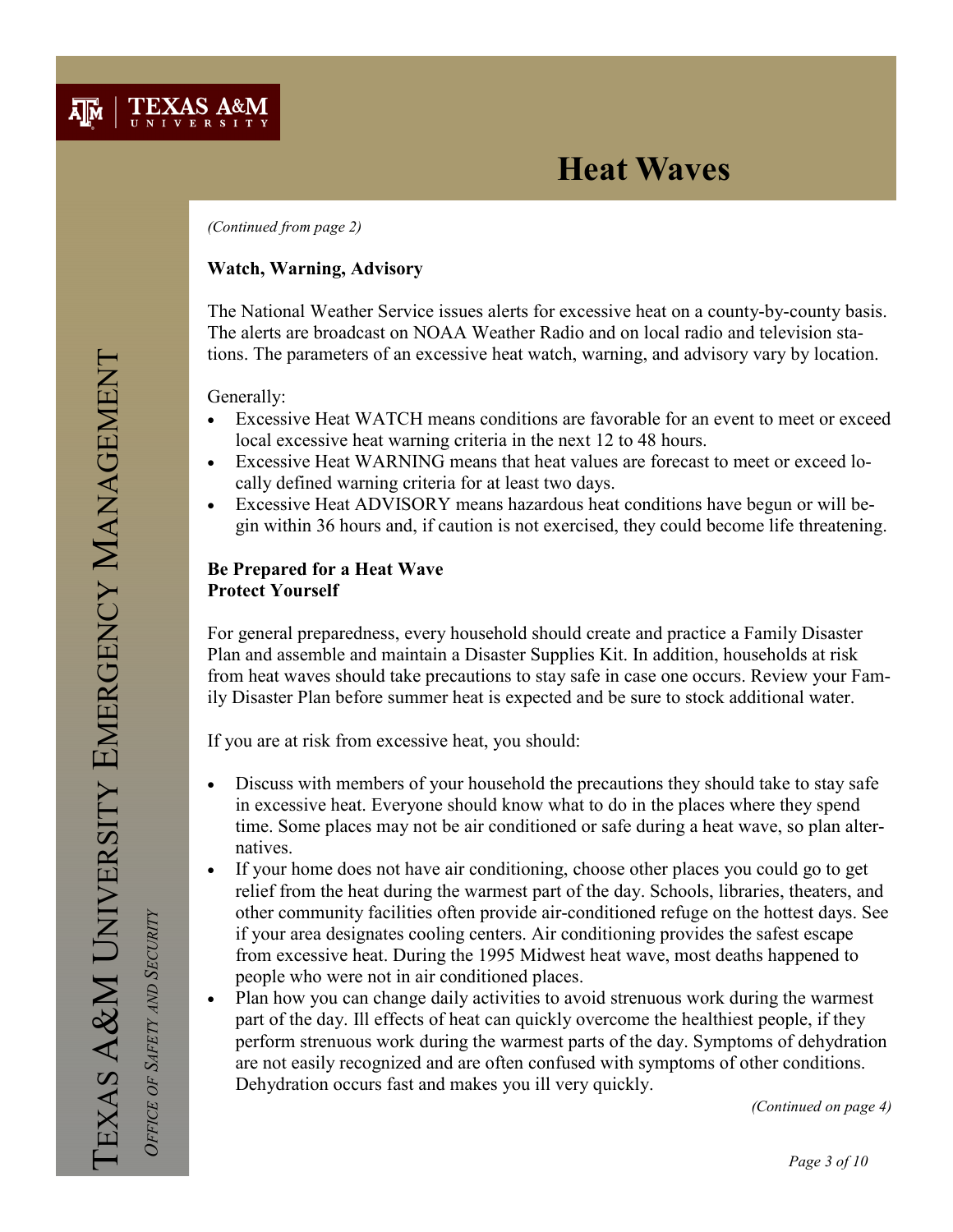

(Continued from page 2)

### Watch, Warning, Advisory

The National Weather Service issues alerts for excessive heat on a county-by-county basis. The alerts are broadcast on NOAA Weather Radio and on local radio and television stations. The parameters of an excessive heat watch, warning, and advisory vary by location.

Generally:

- Excessive Heat WATCH means conditions are favorable for an event to meet or exceed local excessive heat warning criteria in the next 12 to 48 hours.
- Excessive Heat WARNING means that heat values are forecast to meet or exceed locally defined warning criteria for at least two days.
- Excessive Heat ADVISORY means hazardous heat conditions have begun or will begin within 36 hours and, if caution is not exercised, they could become life threatening.

### Be Prepared for a Heat Wave Protect Yourself

For general preparedness, every household should create and practice a Family Disaster Plan and assemble and maintain a Disaster Supplies Kit. In addition, households at risk from heat waves should take precautions to stay safe in case one occurs. Review your Family Disaster Plan before summer heat is expected and be sure to stock additional water.

If you are at risk from excessive heat, you should:

- Discuss with members of your household the precautions they should take to stay safe in excessive heat. Everyone should know what to do in the places where they spend time. Some places may not be air conditioned or safe during a heat wave, so plan alternatives.
- If your home does not have air conditioning, choose other places you could go to get relief from the heat during the warmest part of the day. Schools, libraries, theaters, and other community facilities often provide air-conditioned refuge on the hottest days. See if your area designates cooling centers. Air conditioning provides the safest escape from excessive heat. During the 1995 Midwest heat wave, most deaths happened to people who were not in air conditioned places.
- Plan how you can change daily activities to avoid strenuous work during the warmest part of the day. Ill effects of heat can quickly overcome the healthiest people, if they perform strenuous work during the warmest parts of the day. Symptoms of dehydration are not easily recognized and are often confused with symptoms of other conditions. Dehydration occurs fast and makes you ill very quickly.

(Continued on page 4)

OFFICE OF SAFETY AND SECURITY

OFFICE OF SAFETY AND SECURITY

Page 3 of 10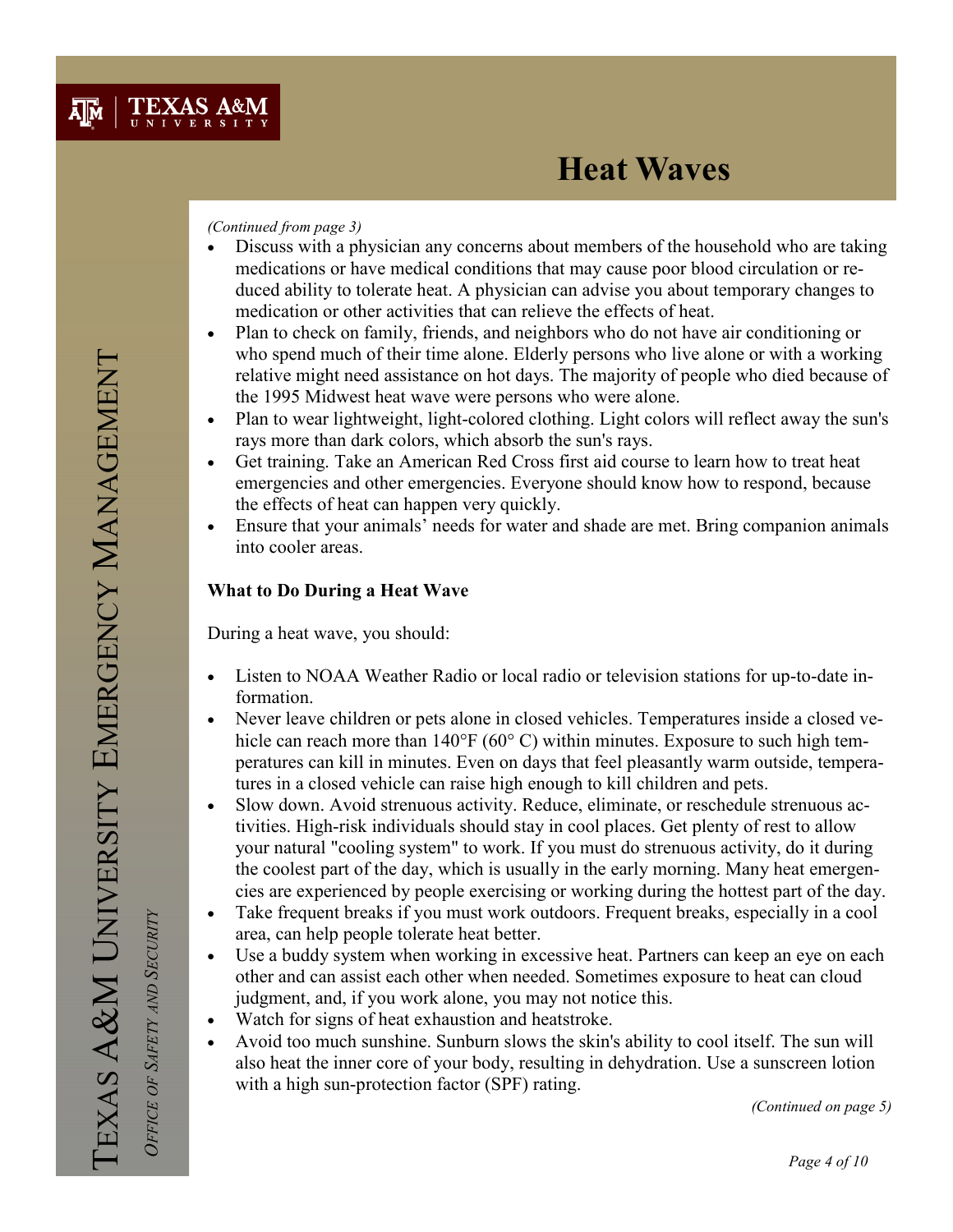#### (Continued from page 3)

- Discuss with a physician any concerns about members of the household who are taking medications or have medical conditions that may cause poor blood circulation or reduced ability to tolerate heat. A physician can advise you about temporary changes to medication or other activities that can relieve the effects of heat.
- Plan to check on family, friends, and neighbors who do not have air conditioning or who spend much of their time alone. Elderly persons who live alone or with a working relative might need assistance on hot days. The majority of people who died because of the 1995 Midwest heat wave were persons who were alone.
- Plan to wear lightweight, light-colored clothing. Light colors will reflect away the sun's rays more than dark colors, which absorb the sun's rays.
- Get training. Take an American Red Cross first aid course to learn how to treat heat emergencies and other emergencies. Everyone should know how to respond, because the effects of heat can happen very quickly.
- Ensure that your animals' needs for water and shade are met. Bring companion animals into cooler areas.

## What to Do During a Heat Wave

During a heat wave, you should:

- Listen to NOAA Weather Radio or local radio or television stations for up-to-date information.
- Never leave children or pets alone in closed vehicles. Temperatures inside a closed vehicle can reach more than 140°F (60°C) within minutes. Exposure to such high temperatures can kill in minutes. Even on days that feel pleasantly warm outside, temperatures in a closed vehicle can raise high enough to kill children and pets.
- Slow down. Avoid strenuous activity. Reduce, eliminate, or reschedule strenuous activities. High-risk individuals should stay in cool places. Get plenty of rest to allow your natural "cooling system" to work. If you must do strenuous activity, do it during the coolest part of the day, which is usually in the early morning. Many heat emergencies are experienced by people exercising or working during the hottest part of the day.
- Take frequent breaks if you must work outdoors. Frequent breaks, especially in a cool area, can help people tolerate heat better.
- Use a buddy system when working in excessive heat. Partners can keep an eye on each other and can assist each other when needed. Sometimes exposure to heat can cloud judgment, and, if you work alone, you may not notice this.
- Watch for signs of heat exhaustion and heatstroke.
- Avoid too much sunshine. Sunburn slows the skin's ability to cool itself. The sun will also heat the inner core of your body, resulting in dehydration. Use a sunscreen lotion with a high sun-protection factor (SPF) rating.

(Continued on page 5)

 OFFICE OF SAFETY AND SECURITY OFFICE OF SAFETY AND SECURITY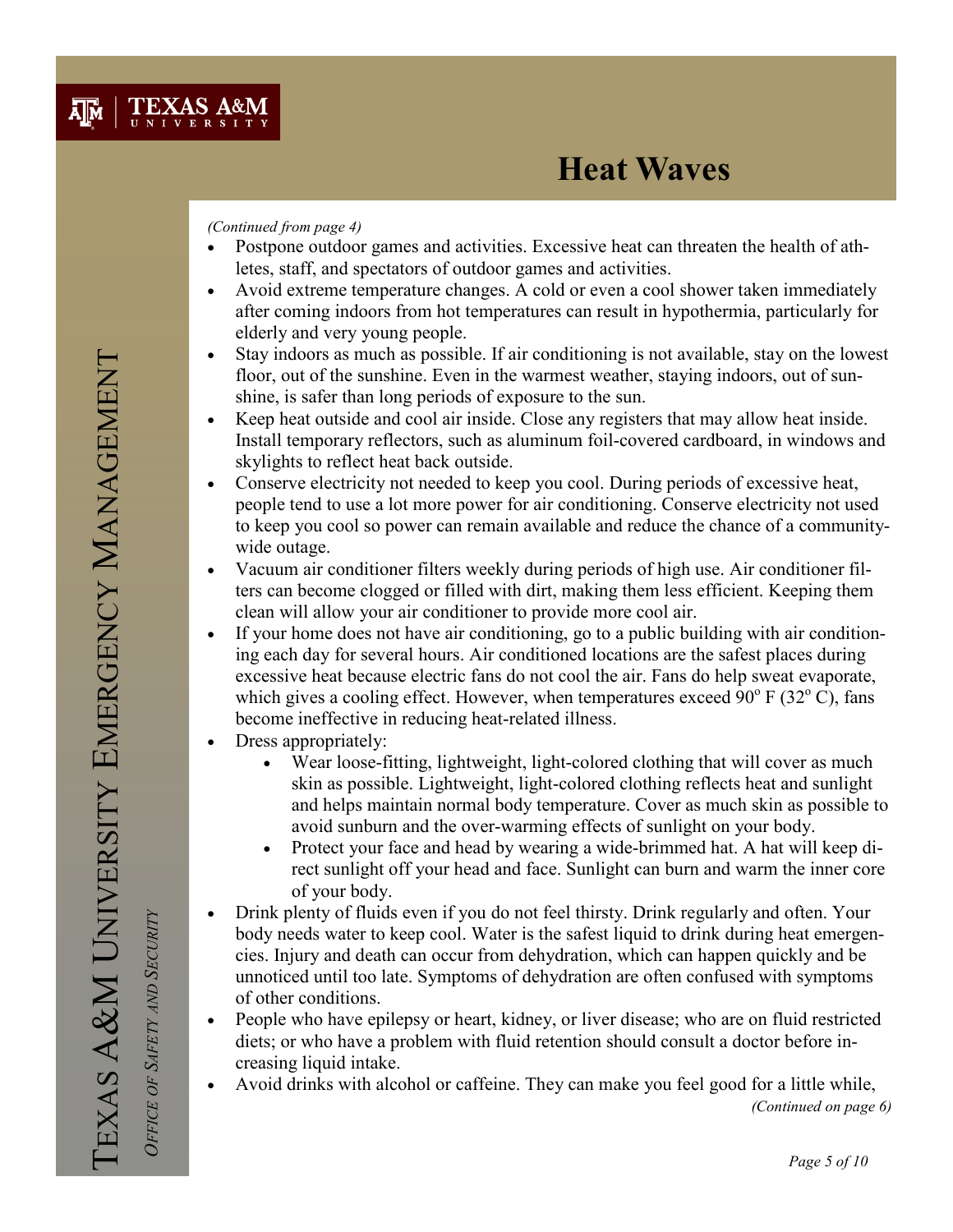#### (Continued from page 4)

- Postpone outdoor games and activities. Excessive heat can threaten the health of athletes, staff, and spectators of outdoor games and activities.
- Avoid extreme temperature changes. A cold or even a cool shower taken immediately after coming indoors from hot temperatures can result in hypothermia, particularly for elderly and very young people.
- Stay indoors as much as possible. If air conditioning is not available, stay on the lowest floor, out of the sunshine. Even in the warmest weather, staying indoors, out of sunshine, is safer than long periods of exposure to the sun.
- Keep heat outside and cool air inside. Close any registers that may allow heat inside. Install temporary reflectors, such as aluminum foil-covered cardboard, in windows and skylights to reflect heat back outside.
- Conserve electricity not needed to keep you cool. During periods of excessive heat, people tend to use a lot more power for air conditioning. Conserve electricity not used to keep you cool so power can remain available and reduce the chance of a communitywide outage.
- Vacuum air conditioner filters weekly during periods of high use. Air conditioner filters can become clogged or filled with dirt, making them less efficient. Keeping them clean will allow your air conditioner to provide more cool air.
- If your home does not have air conditioning, go to a public building with air conditioning each day for several hours. Air conditioned locations are the safest places during excessive heat because electric fans do not cool the air. Fans do help sweat evaporate, which gives a cooling effect. However, when temperatures exceed  $90^{\circ}$  F (32 $^{\circ}$  C), fans become ineffective in reducing heat-related illness.
- Dress appropriately:
	- Wear loose-fitting, lightweight, light-colored clothing that will cover as much skin as possible. Lightweight, light-colored clothing reflects heat and sunlight and helps maintain normal body temperature. Cover as much skin as possible to avoid sunburn and the over-warming effects of sunlight on your body.
	- Protect your face and head by wearing a wide-brimmed hat. A hat will keep direct sunlight off your head and face. Sunlight can burn and warm the inner core of your body.
- Drink plenty of fluids even if you do not feel thirsty. Drink regularly and often. Your body needs water to keep cool. Water is the safest liquid to drink during heat emergencies. Injury and death can occur from dehydration, which can happen quickly and be unnoticed until too late. Symptoms of dehydration are often confused with symptoms of other conditions.
- People who have epilepsy or heart, kidney, or liver disease; who are on fluid restricted diets; or who have a problem with fluid retention should consult a doctor before increasing liquid intake.
- Avoid drinks with alcohol or caffeine. They can make you feel good for a little while,

(Continued on page 6)

OFFICE OF SAFETY AND SECURITY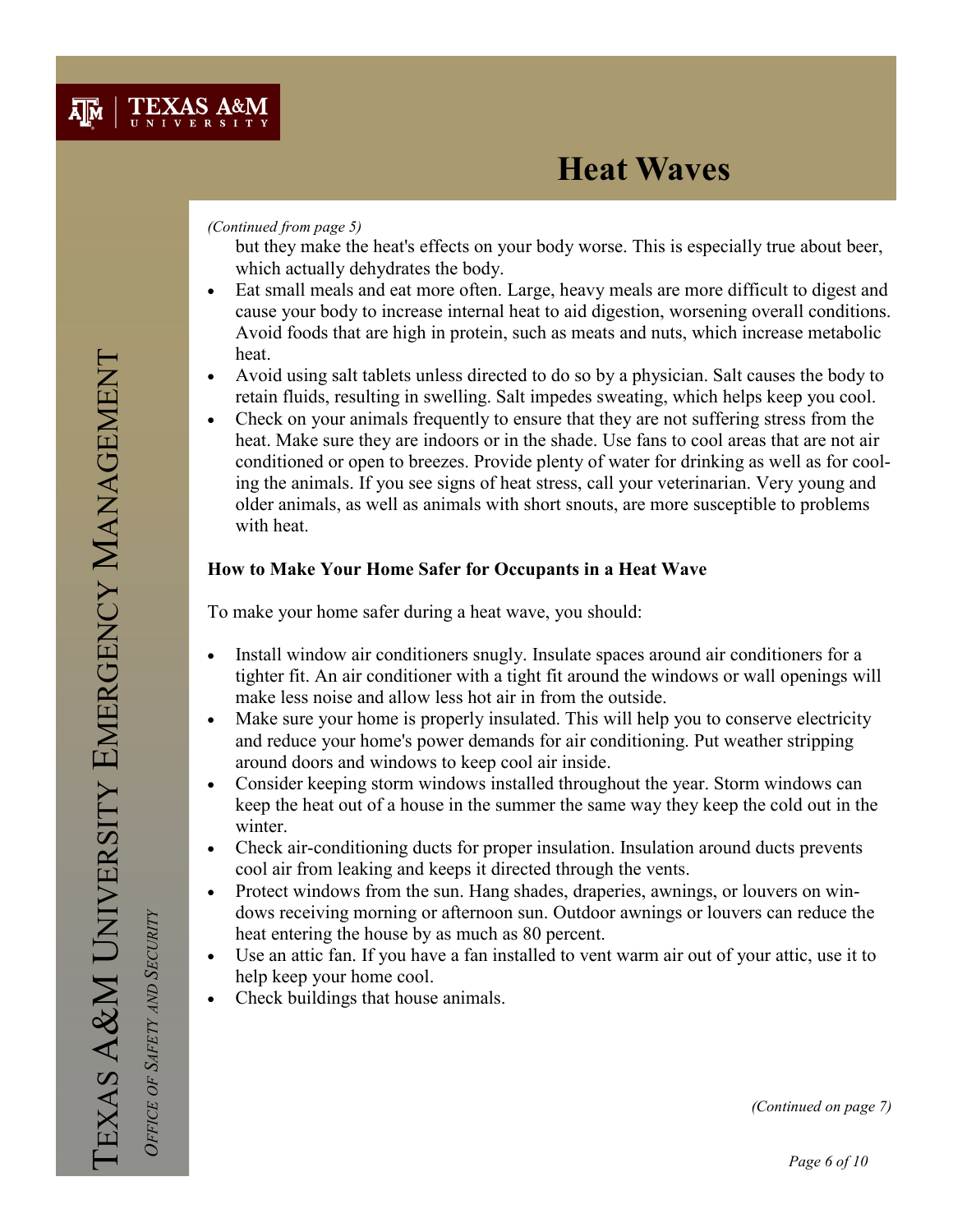#### (Continued from page 5)

but they make the heat's effects on your body worse. This is especially true about beer, which actually dehydrates the body.

- Eat small meals and eat more often. Large, heavy meals are more difficult to digest and cause your body to increase internal heat to aid digestion, worsening overall conditions. Avoid foods that are high in protein, such as meats and nuts, which increase metabolic heat.
- Avoid using salt tablets unless directed to do so by a physician. Salt causes the body to retain fluids, resulting in swelling. Salt impedes sweating, which helps keep you cool.
- Check on your animals frequently to ensure that they are not suffering stress from the heat. Make sure they are indoors or in the shade. Use fans to cool areas that are not air conditioned or open to breezes. Provide plenty of water for drinking as well as for cooling the animals. If you see signs of heat stress, call your veterinarian. Very young and older animals, as well as animals with short snouts, are more susceptible to problems with heat.

## How to Make Your Home Safer for Occupants in a Heat Wave

To make your home safer during a heat wave, you should:

- Install window air conditioners snugly. Insulate spaces around air conditioners for a tighter fit. An air conditioner with a tight fit around the windows or wall openings will make less noise and allow less hot air in from the outside.
- Make sure your home is properly insulated. This will help you to conserve electricity and reduce your home's power demands for air conditioning. Put weather stripping around doors and windows to keep cool air inside.
- Consider keeping storm windows installed throughout the year. Storm windows can keep the heat out of a house in the summer the same way they keep the cold out in the winter.
- Check air-conditioning ducts for proper insulation. Insulation around ducts prevents cool air from leaking and keeps it directed through the vents.
- Protect windows from the sun. Hang shades, draperies, awnings, or louvers on windows receiving morning or afternoon sun. Outdoor awnings or louvers can reduce the heat entering the house by as much as 80 percent.
- Use an attic fan. If you have a fan installed to vent warm air out of your attic, use it to help keep your home cool.
- Check buildings that house animals.

OFFICE OF SAFETY AND SECURITY

OFFICE OF SAFETY AND SECURITY

(Continued on page 7)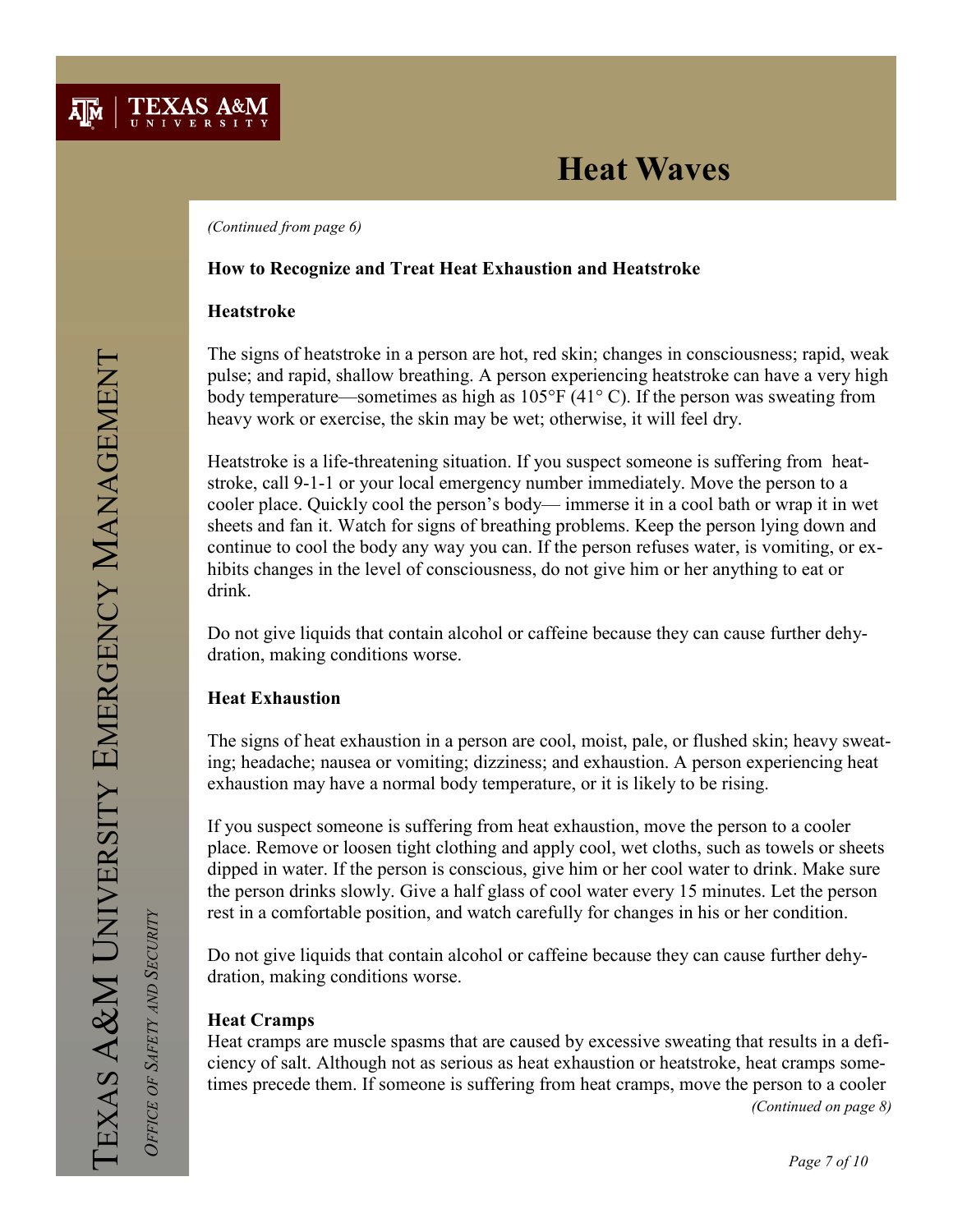

(Continued from page 6)

### How to Recognize and Treat Heat Exhaustion and Heatstroke

### Heatstroke

The signs of heatstroke in a person are hot, red skin; changes in consciousness; rapid, weak pulse; and rapid, shallow breathing. A person experiencing heatstroke can have a very high body temperature—sometimes as high as 105°F (41° C). If the person was sweating from heavy work or exercise, the skin may be wet; otherwise, it will feel dry.

Heatstroke is a life-threatening situation. If you suspect someone is suffering from heatstroke, call 9-1-1 or your local emergency number immediately. Move the person to a cooler place. Quickly cool the person's body— immerse it in a cool bath or wrap it in wet sheets and fan it. Watch for signs of breathing problems. Keep the person lying down and continue to cool the body any way you can. If the person refuses water, is vomiting, or exhibits changes in the level of consciousness, do not give him or her anything to eat or drink.

Do not give liquids that contain alcohol or caffeine because they can cause further dehydration, making conditions worse.

### Heat Exhaustion

The signs of heat exhaustion in a person are cool, moist, pale, or flushed skin; heavy sweating; headache; nausea or vomiting; dizziness; and exhaustion. A person experiencing heat exhaustion may have a normal body temperature, or it is likely to be rising.

If you suspect someone is suffering from heat exhaustion, move the person to a cooler place. Remove or loosen tight clothing and apply cool, wet cloths, such as towels or sheets dipped in water. If the person is conscious, give him or her cool water to drink. Make sure the person drinks slowly. Give a half glass of cool water every 15 minutes. Let the person rest in a comfortable position, and watch carefully for changes in his or her condition.

Do not give liquids that contain alcohol or caffeine because they can cause further dehydration, making conditions worse.

### Heat Cramps

Heat cramps are muscle spasms that are caused by excessive sweating that results in a deficiency of salt. Although not as serious as heat exhaustion or heatstroke, heat cramps sometimes precede them. If someone is suffering from heat cramps, move the person to a cooler (Continued on page 8)

OFFICE OF SAFETY AND SECURITY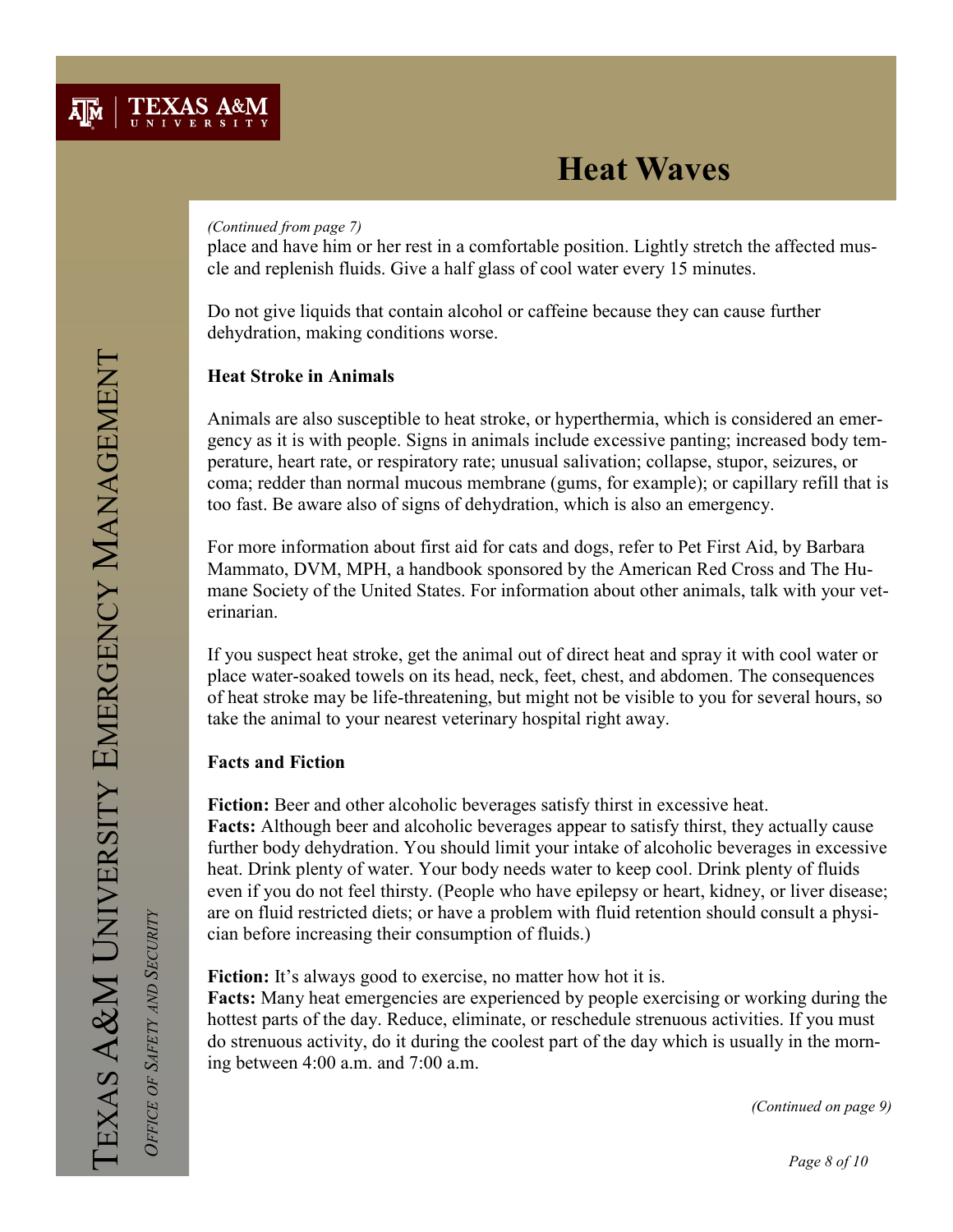#### (Continued from page 7)

place and have him or her rest in a comfortable position. Lightly stretch the affected muscle and replenish fluids. Give a half glass of cool water every 15 minutes.

Do not give liquids that contain alcohol or caffeine because they can cause further dehydration, making conditions worse.

### Heat Stroke in Animals

Animals are also susceptible to heat stroke, or hyperthermia, which is considered an emergency as it is with people. Signs in animals include excessive panting; increased body temperature, heart rate, or respiratory rate; unusual salivation; collapse, stupor, seizures, or coma; redder than normal mucous membrane (gums, for example); or capillary refill that is too fast. Be aware also of signs of dehydration, which is also an emergency.

For more information about first aid for cats and dogs, refer to Pet First Aid, by Barbara Mammato, DVM, MPH, a handbook sponsored by the American Red Cross and The Humane Society of the United States. For information about other animals, talk with your veterinarian.

If you suspect heat stroke, get the animal out of direct heat and spray it with cool water or place water-soaked towels on its head, neck, feet, chest, and abdomen. The consequences of heat stroke may be life-threatening, but might not be visible to you for several hours, so take the animal to your nearest veterinary hospital right away.

### Facts and Fiction

Fiction: Beer and other alcoholic beverages satisfy thirst in excessive heat. Facts: Although beer and alcoholic beverages appear to satisfy thirst, they actually cause further body dehydration. You should limit your intake of alcoholic beverages in excessive heat. Drink plenty of water. Your body needs water to keep cool. Drink plenty of fluids even if you do not feel thirsty. (People who have epilepsy or heart, kidney, or liver disease; are on fluid restricted diets; or have a problem with fluid retention should consult a physician before increasing their consumption of fluids.)

Fiction: It's always good to exercise, no matter how hot it is.

Facts: Many heat emergencies are experienced by people exercising or working during the hottest parts of the day. Reduce, eliminate, or reschedule strenuous activities. If you must do strenuous activity, do it during the coolest part of the day which is usually in the morning between 4:00 a.m. and 7:00 a.m.

(Continued on page 9)

OFFICE OF SAFETY AND SECURITY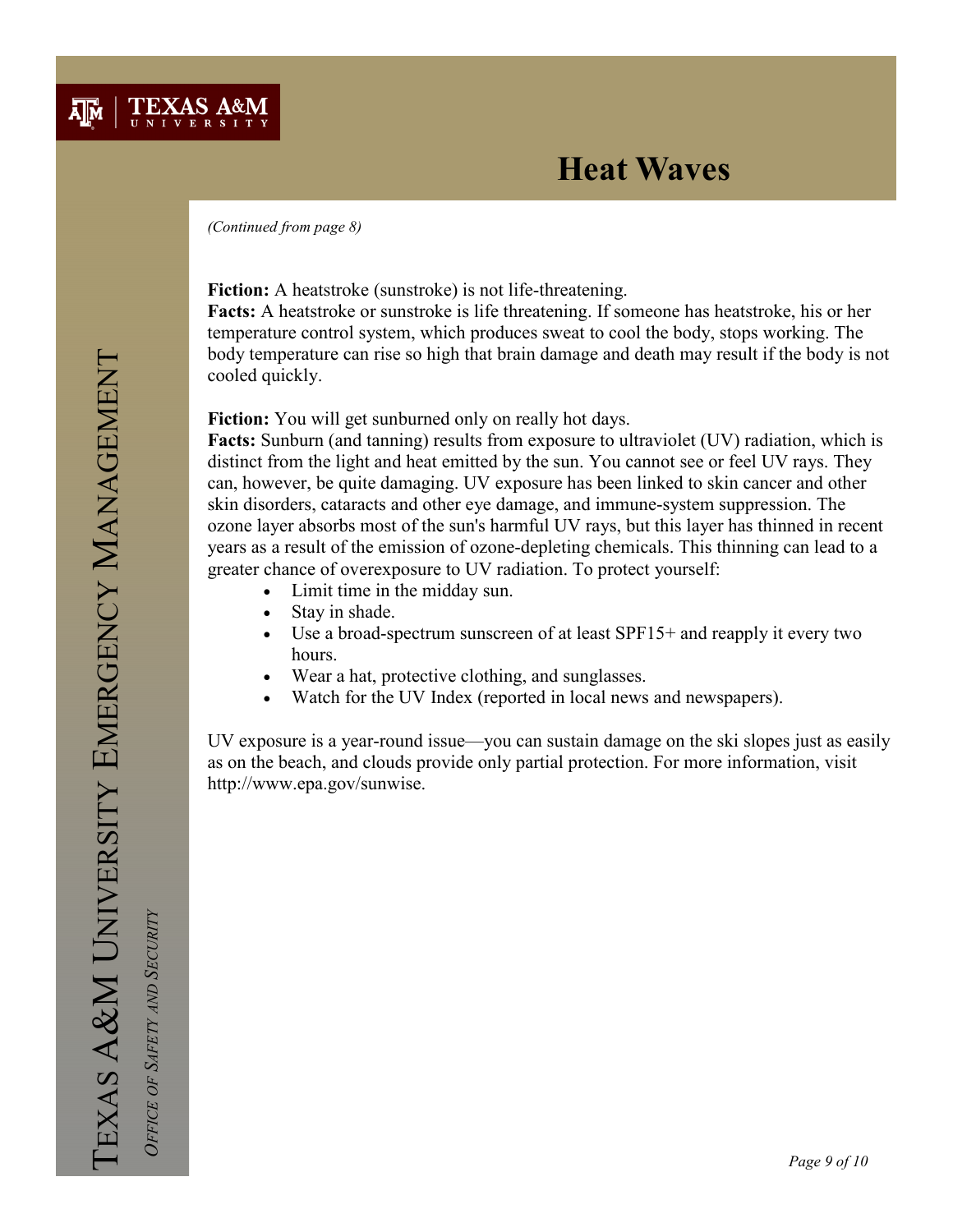

(Continued from page 8)

Fiction: A heatstroke (sunstroke) is not life-threatening.

Facts: A heatstroke or sunstroke is life threatening. If someone has heatstroke, his or her temperature control system, which produces sweat to cool the body, stops working. The body temperature can rise so high that brain damage and death may result if the body is not cooled quickly.

#### Fiction: You will get sunburned only on really hot days.

Facts: Sunburn (and tanning) results from exposure to ultraviolet (UV) radiation, which is distinct from the light and heat emitted by the sun. You cannot see or feel UV rays. They can, however, be quite damaging. UV exposure has been linked to skin cancer and other skin disorders, cataracts and other eye damage, and immune-system suppression. The ozone layer absorbs most of the sun's harmful UV rays, but this layer has thinned in recent years as a result of the emission of ozone-depleting chemicals. This thinning can lead to a greater chance of overexposure to UV radiation. To protect yourself:

- Limit time in the midday sun.
- Stay in shade.
- Use a broad-spectrum sunscreen of at least SPF15+ and reapply it every two hours.
- Wear a hat, protective clothing, and sunglasses.
- Watch for the UV Index (reported in local news and newspapers).

UV exposure is a year-round issue—you can sustain damage on the ski slopes just as easily as on the beach, and clouds provide only partial protection. For more information, visit http://www.epa.gov/sunwise.

OFFICE OF SAFETY AND SECURITY

OFFICE OF SAFETY AND SECURITY

Page 9 of 10